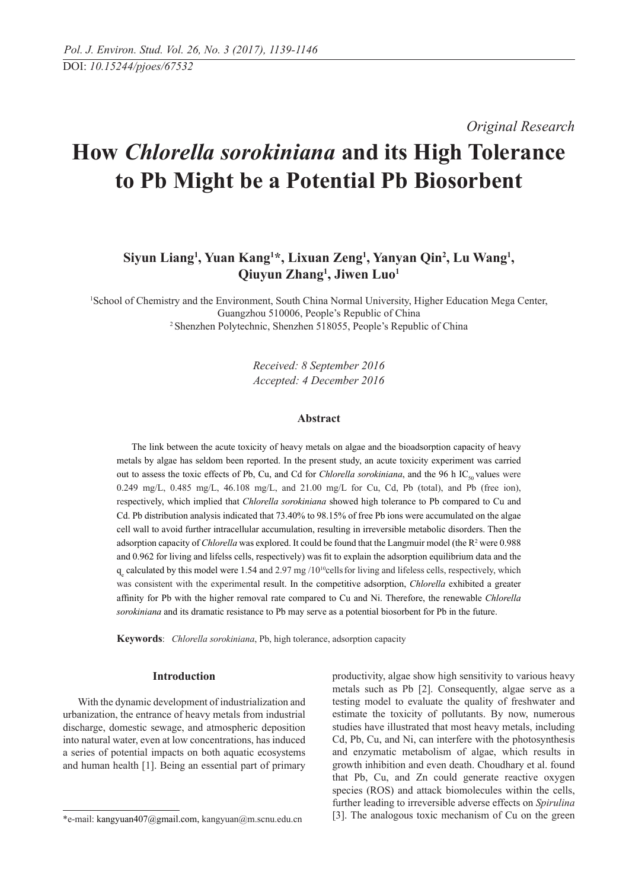*Original Research* 

# **How** *Chlorella sorokiniana* **and its high tolerance to Pb might be a potential Pb biosorbent**

## Siyun Liang<sup>1</sup>, Yuan Kang<sup>1\*</sup>, Lixuan Zeng<sup>1</sup>, Yanyan Qin<sup>2</sup>, Lu Wang<sup>1</sup>, **Qiuyun Zhang1 , Jiwen Luo1**

1 School of Chemistry and the Environment, South China Normal University, Higher Education Mega Center, Guangzhou 510006, People's Republic of China 2 Shenzhen Polytechnic, Shenzhen 518055, People's Republic of China

> *Received: 8 September 2016 Accepted: 4 December 2016*

#### **Abstract**

The link between the acute toxicity of heavy metals on algae and the bioadsorption capacity of heavy metals by algae has seldom been reported. In the present study, an acute toxicity experiment was carried out to assess the toxic effects of Pb, Cu, and Cd for *Chlorella sorokiniana*, and the 96 h IC<sub>50</sub> values were 0.249 mg/L, 0.485 mg/L, 46.108 mg/L, and 21.00 mg/L for Cu, Cd, Pb (total), and Pb (free ion), respectively, which implied that *Chlorella sorokiniana* showed high tolerance to Pb compared to Cu and Cd. Pb distribution analysis indicated that 73.40% to 98.15% of free Pb ions were accumulated on the algae cell wall to avoid further intracellular accumulation, resulting in irreversible metabolic disorders. Then the adsorption capacity of *Chlorella* was explored. It could be found that the Langmuir model (the R<sup>2</sup> were 0.988 and 0.962 for living and lifelss cells, respectively) was fit to explain the adsorption equilibrium data and the  $q_e$  calculated by this model were 1.54 and 2.97 mg /10<sup>10</sup>cells for living and lifeless cells, respectively, which was consistent with the experimental result. In the competitive adsorption, *Chlorella* exhibited a greater affinity for Pb with the higher removal rate compared to Cu and Ni. Therefore, the renewable *Chlorella sorokiniana* and its dramatic resistance to Pb may serve as a potential biosorbent for Pb in the future.

**Keywords**: *Chlorella sorokiniana*, Pb, high tolerance, adsorption capacity

## **Introduction**

With the dynamic development of industrialization and urbanization, the entrance of heavy metals from industrial discharge, domestic sewage, and atmospheric deposition into natural water, even at low concentrations, has induced a series of potential impacts on both aquatic ecosystems and human health [1]. Being an essential part of primary productivity, algae show high sensitivity to various heavy metals such as Pb [2]. Consequently, algae serve as a testing model to evaluate the quality of freshwater and estimate the toxicity of pollutants. By now, numerous studies have illustrated that most heavy metals, including Cd, Pb, Cu, and Ni, can interfere with the photosynthesis and enzymatic metabolism of algae, which results in growth inhibition and even death. Choudhary et al. found that Pb, Cu, and Zn could generate reactive oxygen species (ROS) and attack biomolecules within the cells, further leading to irreversible adverse effects on *Spirulina*  [3]. The analogous toxic mechanism of Cu on the green

<sup>\*</sup>e-mail: kangyuan407@gmail.com, kangyuan@m.scnu.edu.cn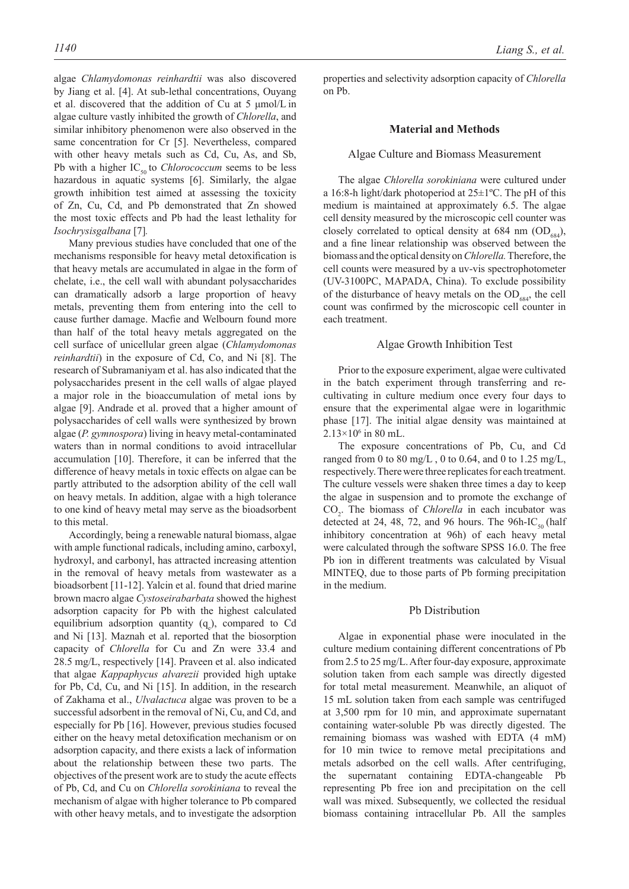algae *Chlamydomonas reinhardtii* was also discovered by Jiang et al. [4]. At sub-lethal concentrations, Ouyang et al. discovered that the addition of Cu at 5 μmol/L in algae culture vastly inhibited the growth of *Chlorella*, and similar inhibitory phenomenon were also observed in the same concentration for Cr [5]. Nevertheless, compared with other heavy metals such as Cd, Cu, As, and Sb, Pb with a higher  $IC_{50}$  to *Chlorococcum* seems to be less hazardous in aquatic systems [6]. Similarly, the algae growth inhibition test aimed at assessing the toxicity of Zn, Cu, Cd, and Pb demonstrated that Zn showed the most toxic effects and Pb had the least lethality for *Isochrysisgalbana* [7]*.*

Many previous studies have concluded that one of the mechanisms responsible for heavy metal detoxification is that heavy metals are accumulated in algae in the form of chelate, i.e., the cell wall with abundant polysaccharides can dramatically adsorb a large proportion of heavy metals, preventing them from entering into the cell to cause further damage. Macfie and Welbourn found more than half of the total heavy metals aggregated on the cell surface of unicellular green algae (*Chlamydomonas reinhardtii*) in the exposure of Cd, Co, and Ni [8]. The research of Subramaniyam et al. has also indicated that the polysaccharides present in the cell walls of algae played a major role in the bioaccumulation of metal ions by algae [9]. Andrade et al. proved that a higher amount of polysaccharides of cell walls were synthesized by brown algae (*P. gymnospora*) living in heavy metal-contaminated waters than in normal conditions to avoid intracellular accumulation [10]. Therefore, it can be inferred that the difference of heavy metals in toxic effects on algae can be partly attributed to the adsorption ability of the cell wall on heavy metals. In addition, algae with a high tolerance to one kind of heavy metal may serve as the bioadsorbent to this metal.

Accordingly, being a renewable natural biomass, algae with ample functional radicals, including amino, carboxyl, hydroxyl, and carbonyl, has attracted increasing attention in the removal of heavy metals from wastewater as a bioadsorbent [11-12]. Yalcin et al. found that dried marine brown macro algae *Cystoseirabarbata* showed the highest adsorption capacity for Pb with the highest calculated equilibrium adsorption quantity  $(q_e)$ , compared to Cd and Ni [13]. Maznah et al. reported that the biosorption capacity of *Chlorella* for Cu and Zn were 33.4 and 28.5 mg/L, respectively [14]. Praveen et al. also indicated that algae *Kappaphycus alvarezii* provided high uptake for Pb, Cd, Cu, and Ni [15]. In addition, in the research of Zakhama et al., *Ulvalactuca* algae was proven to be a successful adsorbent in the removal of Ni, Cu, and Cd, and especially for Pb [16]. However, previous studies focused either on the heavy metal detoxification mechanism or on adsorption capacity, and there exists a lack of information about the relationship between these two parts. The objectives of the present work are to study the acute effects of Pb, Cd, and Cu on *Chlorella sorokiniana* to reveal the mechanism of algae with higher tolerance to Pb compared with other heavy metals, and to investigate the adsorption

properties and selectivity adsorption capacity of *Chlorella* on Pb.

#### **Material and Methods**

## Algae culture and biomass measurement

The algae *Chlorella sorokiniana* were cultured under a 16:8-h light/dark photoperiod at 25±1ºC. The pH of this medium is maintained at approximately 6.5. The algae cell density measured by the microscopic cell counter was closely correlated to optical density at 684 nm  $(OD_{684})$ , and a fine linear relationship was observed between the biomass and the optical density on *Chlorella.* Therefore, the cell counts were measured by a uv-vis spectrophotometer (UV-3100PC, MAPADA, China). To exclude possibility of the disturbance of heavy metals on the  $OD_{684}$ , the cell count was confirmed by the microscopic cell counter in each treatment.

#### Algae Growth Inhibition Test

Prior to the exposure experiment, algae were cultivated in the batch experiment through transferring and recultivating in culture medium once every four days to ensure that the experimental algae were in logarithmic phase [17]. The initial algae density was maintained at  $2.13\times10^{6}$  in 80 mL.

The exposure concentrations of Pb, Cu, and Cd ranged from 0 to 80 mg/L, 0 to 0.64, and 0 to 1.25 mg/L, respectively. There were three replicates for each treatment. The culture vessels were shaken three times a day to keep the algae in suspension and to promote the exchange of  $CO<sub>2</sub>$ . The biomass of *Chlorella* in each incubator was detected at 24, 48, 72, and 96 hours. The 96h-IC<sub>50</sub> (half inhibitory concentration at 96h) of each heavy metal were calculated through the software SPSS 16.0. The free Pb ion in different treatments was calculated by Visual MINTEQ, due to those parts of Pb forming precipitation in the medium.

### Pb Distribution

Algae in exponential phase were inoculated in the culture medium containing different concentrations of Pb from 2.5 to 25 mg/L. After four-day exposure, approximate solution taken from each sample was directly digested for total metal measurement. Meanwhile, an aliquot of 15 mL solution taken from each sample was centrifuged at 3,500 rpm for 10 min, and approximate supernatant containing water-soluble Pb was directly digested. The remaining biomass was washed with EDTA (4 mM) for 10 min twice to remove metal precipitations and metals adsorbed on the cell walls. After centrifuging, the supernatant containing EDTA-changeable Pb representing Pb free ion and precipitation on the cell wall was mixed. Subsequently, we collected the residual biomass containing intracellular Pb. All the samples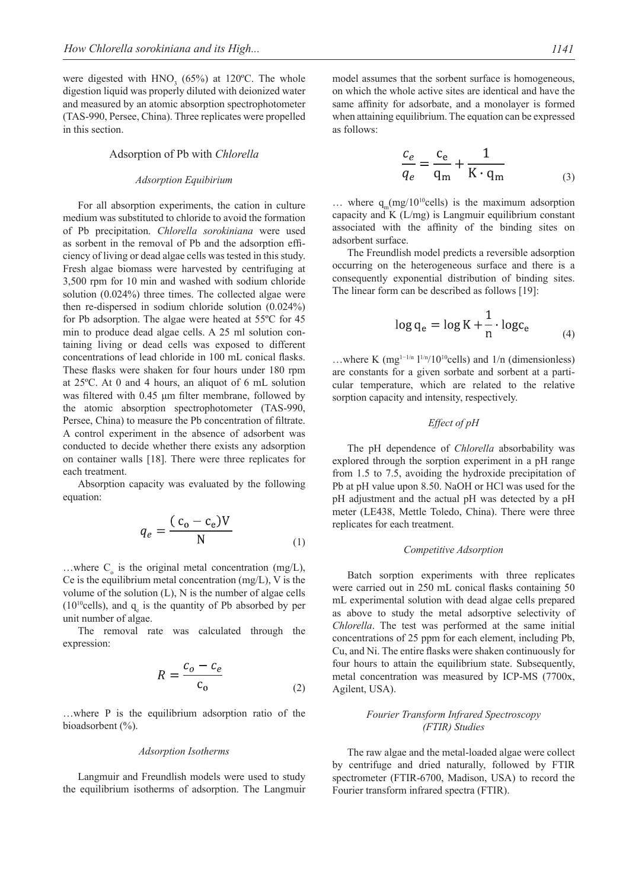were digested with  $HNO<sub>3</sub>$  (65%) at 120°C. The whole digestion liquid was properly diluted with deionized water and measured by an atomic absorption spectrophotometer (TAS-990, Persee, China). Three replicates were propelled in this section.

#### Adsorption of Pb with *Chlorella*

#### *Adsorption Equibirium*

For all absorption experiments, the cation in culture medium was substituted to chloride to avoid the formation of Pb precipitation. *Chlorella sorokiniana* were used as sorbent in the removal of Pb and the adsorption efficiency of living or dead algae cells was tested in this study. Fresh algae biomass were harvested by centrifuging at 3,500 rpm for 10 min and washed with sodium chloride solution (0.024%) three times. The collected algae were then re-dispersed in sodium chloride solution (0.024%) for Pb adsorption. The algae were heated at 55ºC for 45 min to produce dead algae cells. A 25 ml solution containing living or dead cells was exposed to different concentrations of lead chloride in 100 mL conical flasks. These flasks were shaken for four hours under 180 rpm at 25ºC. At 0 and 4 hours, an aliquot of 6 mL solution was filtered with 0.45 μm filter membrane, followed by the atomic absorption spectrophotometer (TAS-990, Persee, China) to measure the Pb concentration of filtrate. A control experiment in the absence of adsorbent was conducted to decide whether there exists any adsorption on container walls [18]. There were three replicates for each treatment.

Absorption capacity was evaluated by the following equation:

$$
q_e = \frac{(c_o - c_e)V}{N}
$$
 (1)

...where  $C_0$  is the original metal concentration (mg/L), Ce is the equilibrium metal concentration  $(mg/L)$ , V is the volume of the solution (L), N is the number of algae cells  $(10^{10}$ cells), and  $q_e$  is the quantity of Pb absorbed by per unit number of algae.

The removal rate was calculated through the expression:

$$
R = \frac{c_o - c_e}{c_o} \tag{2}
$$

…where P is the equilibrium adsorption ratio of the bioadsorbent (%).

#### *Adsorption isotherms*

Langmuir and Freundlish models were used to study the equilibrium isotherms of adsorption. The Langmuir model assumes that the sorbent surface is homogeneous, on which the whole active sites are identical and have the same affinity for adsorbate, and a monolayer is formed when attaining equilibrium. The equation can be expressed as follows:

$$
\frac{c_e}{q_e} = \frac{c_e}{q_m} + \frac{1}{K \cdot q_m} \tag{3}
$$

... where  $q_m(mg/10^{10}$ cells) is the maximum adsorption capacity and K (L/mg) is Langmuir equilibrium constant associated with the affinity of the binding sites on adsorbent surface.

The Freundlish model predicts a reversible adsorption occurring on the heterogeneous surface and there is a consequently exponential distribution of binding sites. The linear form can be described as follows [19]:

$$
\log q_e = \log K + \frac{1}{n} \cdot \log c_e \tag{4}
$$

…where K (mg<sup>1-1/n</sup> l<sup>1/n</sup>/10<sup>10</sup>cells) and l/n (dimensionless) are constants for a given sorbate and sorbent at a particular temperature, which are related to the relative sorption capacity and intensity, respectively.

### *Effect of pH*

The pH dependence of *Chlorella* absorbability was explored through the sorption experiment in a pH range from 1.5 to 7.5, avoiding the hydroxide precipitation of Pb at pH value upon 8.50. NaOH or HCl was used for the pH adjustment and the actual pH was detected by a pH meter (LE438, Mettle Toledo, China). There were three replicates for each treatment.

#### *Competitive adsorption*

Batch sorption experiments with three replicates were carried out in 250 mL conical flasks containing 50 mL experimental solution with dead algae cells prepared as above to study the metal adsorptive selectivity of *Chlorella*. The test was performed at the same initial concentrations of 25 ppm for each element, including Pb, Cu, and Ni. The entire flasks were shaken continuously for four hours to attain the equilibrium state. Subsequently, metal concentration was measured by ICP-MS (7700x, Agilent, USA).

## *Fourier transform infrared spectroscopy (FTIR) studies*

The raw algae and the metal-loaded algae were collect by centrifuge and dried naturally, followed by FTIR spectrometer (FTIR-6700, Madison, USA) to record the Fourier transform infrared spectra (FTIR).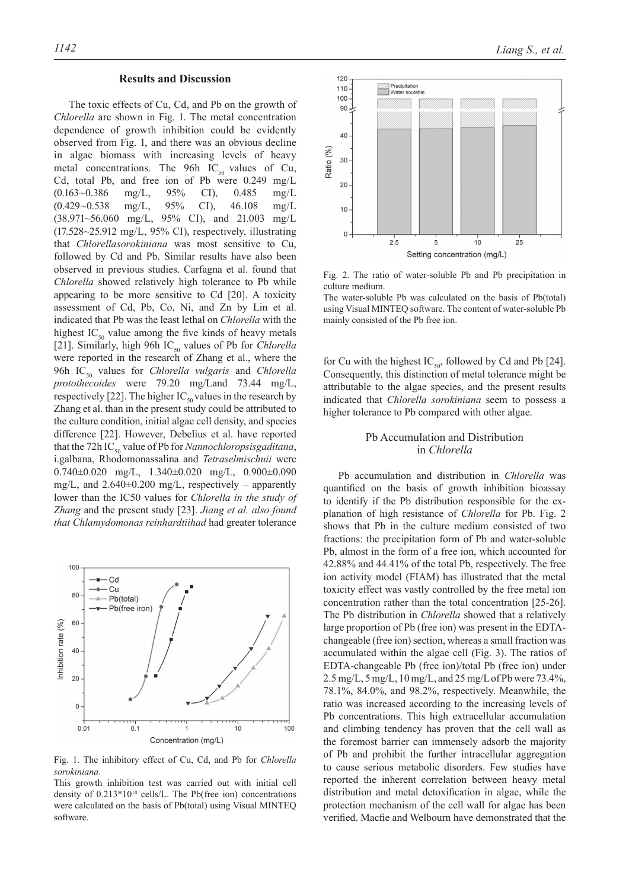#### **Results and Discussion**

The toxic effects of Cu, Cd, and Pb on the growth of *Chlorella* are shown in Fig. 1. The metal concentration dependence of growth inhibition could be evidently observed from Fig. 1, and there was an obvious decline in algae biomass with increasing levels of heavy metal concentrations. The 96h  $IC_{50}$  values of Cu, Cd, total Pb, and free ion of Pb were 0.249 mg/L (0.163~0.386 mg/L, 95% CI), 0.485 mg/L (0.429~0.538 mg/L, 95% CI), 46.108 mg/L (38.971~56.060 mg/L, 95% CI), and 21.003 mg/L (17.528~25.912 mg/L, 95% CI), respectively, illustrating that *Chlorellasorokiniana* was most sensitive to Cu, followed by Cd and Pb. Similar results have also been observed in previous studies. Carfagna et al. found that *Chlorella* showed relatively high tolerance to Pb while appearing to be more sensitive to Cd [20]. A toxicity assessment of Cd, Pb, Co, Ni, and Zn by Lin et al. indicated that Pb was the least lethal on *Chlorella* with the highest  $IC_{50}$  value among the five kinds of heavy metals [21]. Similarly, high 96h IC<sub>50</sub> values of Pb for *Chlorella* were reported in the research of Zhang et al., where the 96h IC<sub>50</sub> values for *Chlorella vulgaris* and *Chlorella protothecoides* were 79.20 mg/Land 73.44 mg/L, respectively [22]. The higher  $IC_{50}$  values in the research by Zhang et al. than in the present study could be attributed to the culture condition, initial algae cell density, and species difference [22]. However, Debelius et al. have reported that the 72h IC<sub>50</sub> value of Pb for *Nannochloropsisgaditana*, i.galbana, Rhodomonassalina and *Tetraselmischuii* were 0.740±0.020 mg/L, 1.340±0.020 mg/L, 0.900±0.090 mg/L, and  $2.640\pm0.200$  mg/L, respectively – apparently lower than the IC50 values for *Chlorella in the study of Zhang* and the present study [23]. *Jiang et al. also found that Chlamydomonas reinhardtiihad* had greater tolerance



Fig. 1. The inhibitory effect of Cu, Cd, and Pb for *Chlorella sorokiniana*.

This growth inhibition test was carried out with initial cell density of  $0.213*10^{10}$  cells/L. The Pb(free ion) concentrations were calculated on the basis of Pb(total) using Visual MINTEQ software.



Fig. 2. The ratio of water-soluble Pb and Pb precipitation in culture medium.

The water-soluble Pb was calculated on the basis of Pb(total) using Visual MINTEQ software. The content of water-soluble Pb mainly consisted of the Pb free ion.

for Cu with the highest  $IC_{50}$ , followed by Cd and Pb [24]. Consequently, this distinction of metal tolerance might be attributable to the algae species, and the present results indicated that *Chlorella sorokiniana* seem to possess a higher tolerance to Pb compared with other algae.

## Pb Accumulation and Distribution in *Chlorella*

Pb accumulation and distribution in *Chlorella* was quantified on the basis of growth inhibition bioassay to identify if the Pb distribution responsible for the explanation of high resistance of *Chlorella* for Pb. Fig. 2 shows that Pb in the culture medium consisted of two fractions: the precipitation form of Pb and water-soluble Pb, almost in the form of a free ion, which accounted for 42.88% and 44.41% of the total Pb, respectively. The free ion activity model (FIAM) has illustrated that the metal toxicity effect was vastly controlled by the free metal ion concentration rather than the total concentration [25-26]. The Pb distribution in *Chlorella* showed that a relatively large proportion of Pb (free ion) was present in the EDTAchangeable (free ion) section, whereas a small fraction was accumulated within the algae cell (Fig. 3). The ratios of EDTA-changeable Pb (free ion)/total Pb (free ion) under 2.5 mg/L, 5 mg/L, 10 mg/L, and 25 mg/L of Pb were 73.4%, 78.1%, 84.0%, and 98.2%, respectively. Meanwhile, the ratio was increased according to the increasing levels of Pb concentrations. This high extracellular accumulation and climbing tendency has proven that the cell wall as the foremost barrier can immensely adsorb the majority of Pb and prohibit the further intracellular aggregation to cause serious metabolic disorders. Few studies have reported the inherent correlation between heavy metal distribution and metal detoxification in algae, while the protection mechanism of the cell wall for algae has been verified. Macfie and Welbourn have demonstrated that the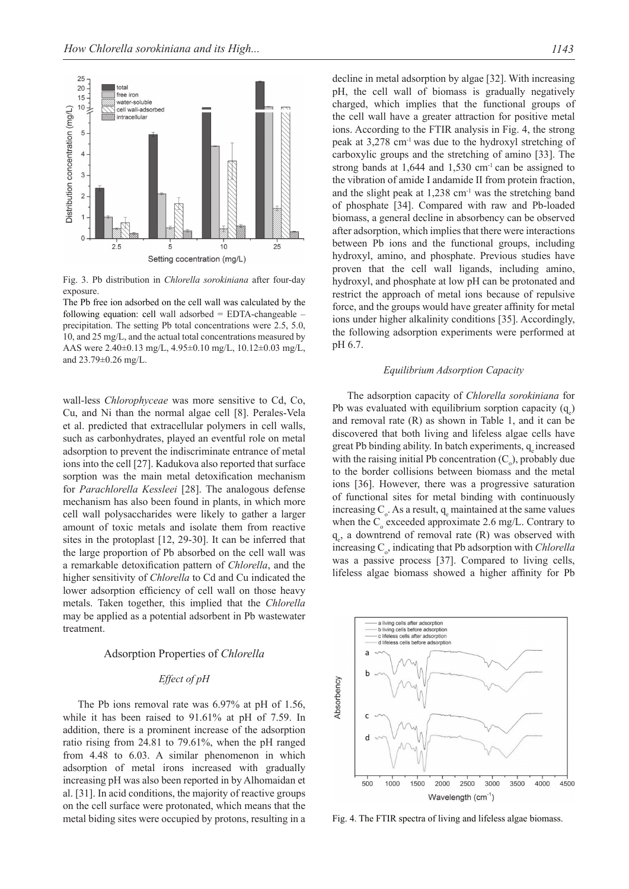

Fig. 3. Pb distribution in *Chlorella sorokiniana* after four-day exposure.

The Pb free ion adsorbed on the cell wall was calculated by the following equation: cell wall adsorbed = EDTA-changeable – precipitation. The setting Pb total concentrations were 2.5, 5.0, 10, and 25 mg/L, and the actual total concentrations measured by AAS were 2.40±0.13 mg/L, 4.95±0.10 mg/L, 10.12±0.03 mg/L, and 23.79±0.26 mg/L.

wall-less *Chlorophyceae* was more sensitive to Cd, Co, Cu, and Ni than the normal algae cell [8]. Perales-Vela et al. predicted that extracellular polymers in cell walls, such as carbonhydrates, played an eventful role on metal adsorption to prevent the indiscriminate entrance of metal ions into the cell [27]. Kadukova also reported that surface sorption was the main metal detoxification mechanism for *Parachlorella Kessleei* [28]. The analogous defense mechanism has also been found in plants, in which more cell wall polysaccharides were likely to gather a larger amount of toxic metals and isolate them from reactive sites in the protoplast [12, 29-30]. It can be inferred that the large proportion of Pb absorbed on the cell wall was a remarkable detoxification pattern of *Chlorella*, and the higher sensitivity of *Chlorella* to Cd and Cu indicated the lower adsorption efficiency of cell wall on those heavy metals. Taken together, this implied that the *Chlorella*  may be applied as a potential adsorbent in Pb wastewater treatment.

## Adsorption properties of *chlorella*

## *Effect of pH*

The Pb ions removal rate was 6.97% at pH of 1.56, while it has been raised to 91.61% at pH of 7.59. In addition, there is a prominent increase of the adsorption ratio rising from 24.81 to 79.61%, when the pH ranged from 4.48 to 6.03. A similar phenomenon in which adsorption of metal irons increased with gradually increasing pH was also been reported in by Alhomaidan et al. [31]. In acid conditions, the majority of reactive groups on the cell surface were protonated, which means that the metal biding sites were occupied by protons, resulting in a decline in metal adsorption by algae [32]. With increasing pH, the cell wall of biomass is gradually negatively charged, which implies that the functional groups of the cell wall have a greater attraction for positive metal ions. According to the FTIR analysis in Fig. 4, the strong peak at  $3,278$  cm<sup>-1</sup> was due to the hydroxyl stretching of carboxylic groups and the stretching of amino [33]. The strong bands at  $1,644$  and  $1,530$  cm<sup>-1</sup> can be assigned to the vibration of amide I andamide II from protein fraction, and the slight peak at  $1.238$  cm<sup>-1</sup> was the stretching band of phosphate [34]. Compared with raw and Pb-loaded biomass, a general decline in absorbency can be observed after adsorption, which implies that there were interactions between Pb ions and the functional groups, including hydroxyl, amino, and phosphate. Previous studies have proven that the cell wall ligands, including amino, hydroxyl, and phosphate at low pH can be protonated and

ions under higher alkalinity conditions [35]. Accordingly, the following adsorption experiments were performed at pH 6.7.

## *Equilibrium adsorption capacity*

restrict the approach of metal ions because of repulsive force, and the groups would have greater affinity for metal

The adsorption capacity of *Chlorella sorokiniana* for Pb was evaluated with equilibrium sorption capacity  $(q_e)$ and removal rate (R) as shown in Table 1, and it can be discovered that both living and lifeless algae cells have great Pb binding ability. In batch experiments,  $q_{\text{e}}$  increased with the raising initial Pb concentration  $(C_0)$ , probably due to the border collisions between biomass and the metal ions [36]. However, there was a progressive saturation of functional sites for metal binding with continuously increasing  $C_0$ . As a result,  $q_e$  maintained at the same values when the  $C_0$  exceeded approximate 2.6 mg/L. Contrary to  $q_e$ , a downtrend of removal rate (R) was observed with increasing C<sub>o</sub>, indicating that Pb adsorption with *Chlorella* was a passive process [37]. Compared to living cells, lifeless algae biomass showed a higher affinity for Pb



Fig. 4. The FTIR spectra of living and lifeless algae biomass.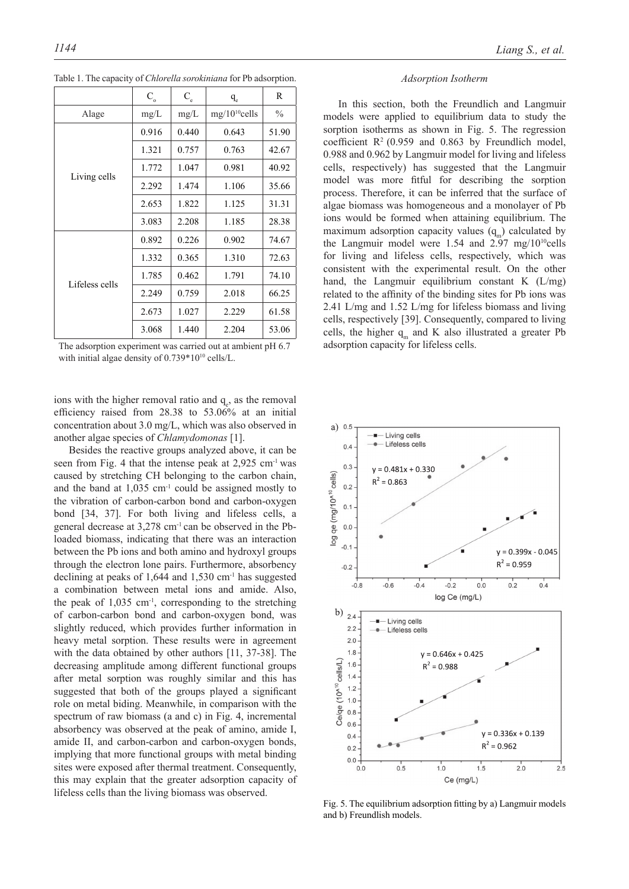|                | $\mathbf{C}_\mathrm{o}$ | $\mathbf{C}_{\text{e}}$ | $q_e$              | R             |
|----------------|-------------------------|-------------------------|--------------------|---------------|
| Alage          | mg/L                    | mg/L                    | $mg/10^{10}$ cells | $\frac{0}{0}$ |
| Living cells   | 0.916                   | 0.440                   | 0.643              | 51.90         |
|                | 1.321                   | 0.757                   | 0.763              | 42.67         |
|                | 1.772                   | 1.047                   | 0.981              | 40.92         |
|                | 2.292                   | 1.474                   | 1.106              | 35.66         |
|                | 2.653                   | 1.822                   | 1.125              | 31.31         |
|                | 3.083                   | 2.208                   | 1.185              | 28.38         |
| Lifeless cells | 0.892                   | 0.226                   | 0.902              | 74.67         |
|                | 1.332                   | 0.365                   | 1.310              | 72.63         |
|                | 1.785                   | 0.462                   | 1.791              | 74.10         |
|                | 2.249                   | 0.759                   | 2.018              | 66.25         |
|                | 2.673                   | 1.027                   | 2.229              | 61.58         |
|                | 3.068                   | 1.440                   | 2.204              | 53.06         |

Table 1. The capacity of *Chlorella sorokiniana* for Pb adsorption.

The adsorption experiment was carried out at ambient pH 6.7 with initial algae density of 0.739\*10<sup>10</sup> cells/L.

ions with the higher removal ratio and  $q_e$ , as the removal efficiency raised from 28.38 to 53.06% at an initial concentration about 3.0 mg/L, which was also observed in another algae species of *Chlamydomonas* [1].

Besides the reactive groups analyzed above, it can be seen from Fig. 4 that the intense peak at 2,925 cm-1 was caused by stretching CH belonging to the carbon chain, and the band at  $1,035$  cm<sup>-1</sup> could be assigned mostly to the vibration of carbon-carbon bond and carbon-oxygen bond [34, 37]. For both living and lifeless cells, a general decrease at 3,278 cm-1 can be observed in the Pbloaded biomass, indicating that there was an interaction between the Pb ions and both amino and hydroxyl groups through the electron lone pairs. Furthermore, absorbency declining at peaks of 1,644 and 1,530  $\text{cm}^{-1}$  has suggested a combination between metal ions and amide. Also, the peak of  $1,035$  cm<sup>-1</sup>, corresponding to the stretching of carbon-carbon bond and carbon-oxygen bond, was slightly reduced, which provides further information in heavy metal sorption. These results were in agreement with the data obtained by other authors [11, 37-38]. The decreasing amplitude among different functional groups after metal sorption was roughly similar and this has suggested that both of the groups played a significant role on metal biding. Meanwhile, in comparison with the spectrum of raw biomass (a and c) in Fig. 4, incremental absorbency was observed at the peak of amino, amide I, amide II, and carbon-carbon and carbon-oxygen bonds, implying that more functional groups with metal binding sites were exposed after thermal treatment. Consequently, this may explain that the greater adsorption capacity of lifeless cells than the living biomass was observed.

#### *Adsorption isotherm*

In this section, both the Freundlich and Langmuir models were applied to equilibrium data to study the sorption isotherms as shown in Fig. 5. The regression coefficient  $\mathbb{R}^2$  (0.959 and 0.863 by Freundlich model, 0.988 and 0.962 by Langmuir model for living and lifeless cells, respectively) has suggested that the Langmuir model was more fitful for describing the sorption process. Therefore, it can be inferred that the surface of algae biomass was homogeneous and a monolayer of Pb ions would be formed when attaining equilibrium. The maximum adsorption capacity values  $(q_m)$  calculated by the Langmuir model were  $1.54$  and  $2.97$  mg/ $10^{10}$ cells for living and lifeless cells, respectively, which was consistent with the experimental result. On the other hand, the Langmuir equilibrium constant K (L/mg) related to the affinity of the binding sites for Pb ions was 2.41 L/mg and 1.52 L/mg for lifeless biomass and living cells, respectively [39]. Consequently, compared to living cells, the higher  $q_m$  and K also illustrated a greater Pb adsorption capacity for lifeless cells.



Fig. 5. The equilibrium adsorption fitting by a) Langmuir models and b) Freundlish models.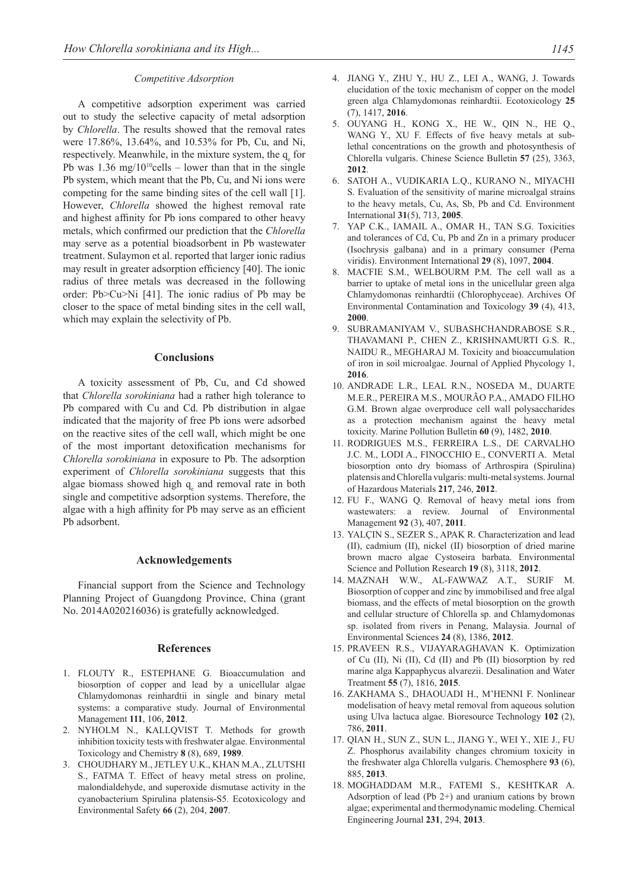#### *Competitive adsorption*

A competitive adsorption experiment was carried out to study the selective capacity of metal adsorption by *Chlorella*. The results showed that the removal rates were 17.86%, 13.64%, and 10.53% for Pb, Cu, and Ni, respectively. Meanwhile, in the mixture system, the  $q_e$  for Pb was  $1.36 \text{ mg}/10^{10}$ cells – lower than that in the single Pb system, which meant that the Pb, Cu, and Ni ions were competing for the same binding sites of the cell wall [1]. However, *Chlorella* showed the highest removal rate and highest affinity for Pb ions compared to other heavy metals, which confirmed our prediction that the *Chlorella*  may serve as a potential bioadsorbent in Pb wastewater treatment. Sulaymon et al. reported that larger ionic radius may result in greater adsorption efficiency [40]. The ionic radius of three metals was decreased in the following order: Pb>Cu>Ni [41]. The ionic radius of Pb may be closer to the space of metal binding sites in the cell wall, which may explain the selectivity of Pb.

#### **Conclusions**

A toxicity assessment of Pb, Cu, and Cd showed that *Chlorella sorokiniana* had a rather high tolerance to Pb compared with Cu and Cd. Pb distribution in algae indicated that the majority of free Pb ions were adsorbed on the reactive sites of the cell wall, which might be one of the most important detoxification mechanisms for *Chlorella sorokiniana* in exposure to Pb. The adsorption experiment of *Chlorella sorokiniana* suggests that this algae biomass showed high  $q_e$  and removal rate in both single and competitive adsorption systems. Therefore, the algae with a high affinity for Pb may serve as an efficient Pb adsorbent.

## **Acknowledgements**

Financial support from the Science and Technology Planning Project of Guangdong Province, China (grant No. 2014A020216036) is gratefully acknowledged.

#### **References**

- 1. FLOUTY R., ESTEPHANE G. Bioaccumulation and biosorption of copper and lead by a unicellular algae Chlamydomonas reinhardtii in single and binary metal systems: a comparative study. Journal of Environmental Management **111**, 106, **2012**.
- 2. NYHOLM N., KALLQVIST T. Methods for growth inhibition toxicity tests with freshwater algae. Environmental Toxicology and Chemistry **8** (8), 689, **1989**.
- 3. CHOUDHARY M., JETLEY U.K., KHAN M.A., ZLUTSHI S., FATMA T. Effect of heavy metal stress on proline, malondialdehyde, and superoxide dismutase activity in the cyanobacterium Spirulina platensis-S5. Ecotoxicology and Environmental Safety **66** (2), 204, **2007**.
- 4. JIANG Y., ZHU Y., HU Z., LEI A., WANG, J. Towards elucidation of the toxic mechanism of copper on the model green alga Chlamydomonas reinhardtii. Ecotoxicology **25**  (7), 1417, **2016**.
- 5. OUYANG H., KONG X., HE W., QIN N., HE Q., WANG Y., XU F. Effects of five heavy metals at sublethal concentrations on the growth and photosynthesis of Chlorella vulgaris. Chinese Science Bulletin **57** (25), 3363, **2012**.
- 6. SATOH A., VUDIKARIA L.Q., KURANO N., MIYACHI S. Evaluation of the sensitivity of marine microalgal strains to the heavy metals, Cu, As, Sb, Pb and Cd. Environment International **31**(5), 713, **2005**.
- 7. YAP C.K., IAMAIL A., OMAR H., TAN S.G. Toxicities and tolerances of Cd, Cu, Pb and Zn in a primary producer (Isochrysis galbana) and in a primary consumer (Perna viridis). Environment International **29** (8), 1097, **2004**.
- 8. MACFIE S.M., WELBOURM P.M. The cell wall as a barrier to uptake of metal ions in the unicellular green alga Chlamydomonas reinhardtii (Chlorophyceae). Archives Of Environmental Contamination and Toxicology **39** (4), 413, **2000**.
- 9. SUBRAMANIYAM V., SUBASHCHANDRABOSE S.R., THAVAMANI P., CHEN Z., KRISHNAMURTI G.S. R., NAIDU R., MEGHARAJ M. Toxicity and bioaccumulation of iron in soil microalgae. Journal of Applied Phycology 1, **2016**.
- 10. ANDRADE L.R., LEAL R.N., NOSEDA M., DUARTE M.E.R., PEREIRA M.S., MOURÃO P.A., AMADO FILHO G.M. Brown algae overproduce cell wall polysaccharides as a protection mechanism against the heavy metal toxicity. Marine Pollution Bulletin **60** (9), 1482, **2010**.
- 11. RODRIGUES M.S., FERREIRA L.S., DE CARVALHO J.C. M., LODI A., FINOCCHIO E., CONVERTI A. Metal biosorption onto dry biomass of Arthrospira (Spirulina) platensis and Chlorella vulgaris: multi-metal systems.Journal of Hazardous Materials **217**, 246, **2012**.
- 12. FU F., WANG Q. Removal of heavy metal ions from wastewaters: a review. Journal of Environmental Management **92** (3), 407, **2011**.
- 13. YALÇIN S., SEZER S., APAK R. Characterization and lead (II), cadmium (II), nickel (II) biosorption of dried marine brown macro algae Cystoseira barbata. Environmental Science and Pollution Research **19** (8), 3118, **2012**.
- 14. MAZNAH W.W., AL-FAWWAZ A.T., SURIF M. Biosorption of copper and zinc by immobilised and free algal biomass, and the effects of metal biosorption on the growth and cellular structure of Chlorella sp. and Chlamydomonas sp. isolated from rivers in Penang, Malaysia. Journal of Environmental Sciences **24** (8), 1386, **2012**.
- 15. PRAVEEN R.S., VIJAYARAGHAVAN K. Optimization of Cu (II), Ni (II), Cd (II) and Pb (II) biosorption by red marine alga Kappaphycus alvarezii. Desalination and Water Treatment **55** (7), 1816, **2015**.
- 16. ZAKHAMA S., DHAOUADI H., M'HENNI F. Nonlinear modelisation of heavy metal removal from aqueous solution using Ulva lactuca algae. Bioresource Technology **102** (2), 786, **2011**.
- 17. QIAN H., SUN Z., SUN L., JIANG Y., WEI Y., XIE J., FU Z. Phosphorus availability changes chromium toxicity in the freshwater alga Chlorella vulgaris. Chemosphere **93** (6), 885, **2013**.
- 18. MOGHADDAM M.R., FATEMI S., KESHTKAR A. Adsorption of lead (Pb 2+) and uranium cations by brown algae; experimental and thermodynamic modeling. Chemical Engineering Journal **231**, 294, **2013**.